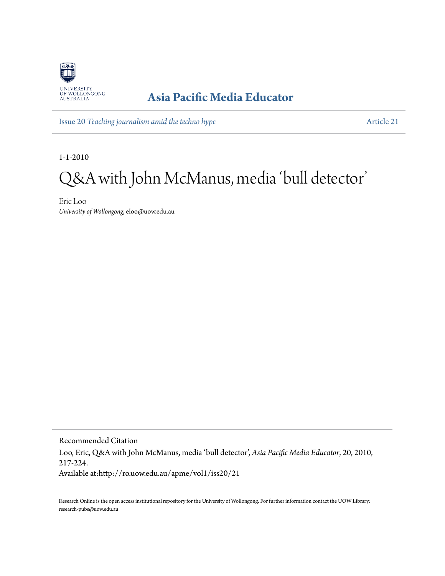

## **[Asia Pacific Media Educator](http://ro.uow.edu.au/apme)**

Issue 20 *[Teaching journalism amid the techno hype](http://ro.uow.edu.au/apme/vol1/iss20)* [Article 21](http://ro.uow.edu.au/apme/vol1/iss20/21)

1-1-2010

### Q&A with John McManus, media 'bull detector '

Eric Loo *University of Wollongong*, eloo@uow.edu.au

Recommended Citation Loo, Eric, Q&A with John McManus, media 'bull detector', *Asia Pacific Media Educator*, 20, 2010, 217-224. Available at:http://ro.uow.edu.au/apme/vol1/iss20/21

Research Online is the open access institutional repository for the University of Wollongong. For further information contact the UOW Library: research-pubs@uow.edu.au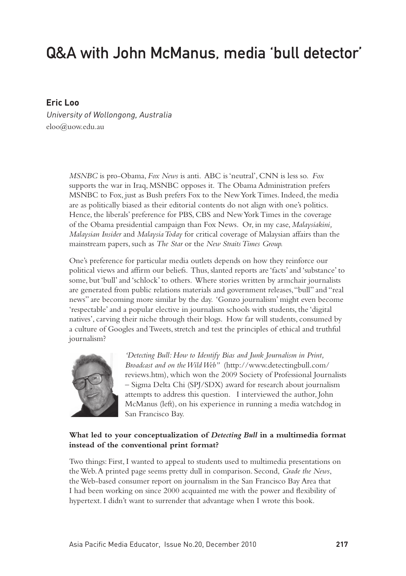# Q&A with John McManus, media 'bull detector'

#### **Eric Loo**

University of Wollongong, Australia eloo@uow.edu.au

> *MSNBC* is pro-Obama, *Fox News* is anti. ABC is 'neutral', CNN is less so. *Fox* supports the war in Iraq, MSNBC opposes it. The Obama Administration prefers MSNBC to Fox, just as Bush prefers Fox to the New York Times. Indeed, the media are as politically biased as their editorial contents do not align with one's politics. Hence, the liberals' preference for PBS, CBS and New York Times in the coverage of the Obama presidential campaign than Fox News. Or, in my case, *Malaysiakini, Malaysian Insider* and *Malaysia Today* for critical coverage of Malaysian affairs than the mainstream papers, such as *The Star* or the *New Straits Times Group.*

One's preference for particular media outlets depends on how they reinforce our political views and affirm our beliefs. Thus, slanted reports are 'facts' and 'substance' to some, but 'bull' and 'schlock' to others. Where stories written by armchair journalists are generated from public relations materials and government releases, "bull" and "real news" are becoming more similar by the day. 'Gonzo journalism' might even become 'respectable' and a popular elective in journalism schools with students, the 'digital natives', carving their niche through their blogs. How far will students, consumed by a culture of Googles and Tweets, stretch and test the principles of ethical and truthful journalism?



*'Detecting Bull: How to Identify Bias and Junk Journalism in Print, Broadcast and on the Wild Web"* (http://www.detectingbull.com/ reviews.htm), which won the 2009 Society of Professional Journalists – Sigma Delta Chi (SPJ/SDX) award for research about journalism attempts to address this question. I interviewed the author, John McManus (left), on his experience in running a media watchdog in San Francisco Bay.

#### **What led to your conceptualization of** *Detecting Bull* **in a multimedia format instead of the conventional print format?**

Two things: First, I wanted to appeal to students used to multimedia presentations on the Web. A printed page seems pretty dull in comparison. Second, *Grade the News*, the Web-based consumer report on journalism in the San Francisco Bay Area that I had been working on since 2000 acquainted me with the power and flexibility of hypertext. I didn't want to surrender that advantage when I wrote this book.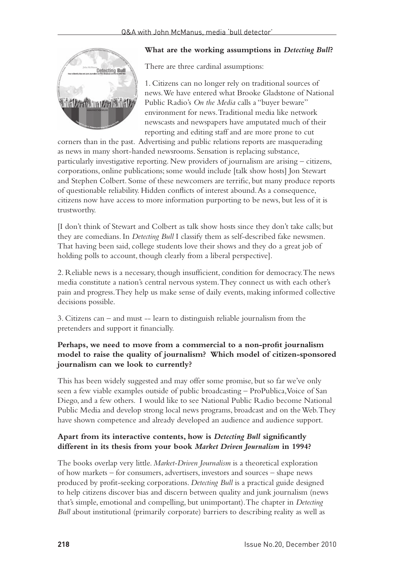

#### **What are the working assumptions in** *Detecting Bull***?**

There are three cardinal assumptions:

1. Citizens can no longer rely on traditional sources of news. We have entered what Brooke Gladstone of National Public Radio's *On the Media* calls a "buyer beware" environment for news. Traditional media like network newscasts and newspapers have amputated much of their reporting and editing staff and are more prone to cut

corners than in the past. Advertising and public relations reports are masquerading as news in many short-handed newsrooms. Sensation is replacing substance, particularly investigative reporting. New providers of journalism are arising – citizens, corporations, online publications; some would include [talk show hosts] Jon Stewart and Stephen Colbert. Some of these newcomers are terrific, but many produce reports of questionable reliability. Hidden conflicts of interest abound. As a consequence, citizens now have access to more information purporting to be news, but less of it is trustworthy.

[I don't think of Stewart and Colbert as talk show hosts since they don't take calls; but they are comedians. In *Detecting Bull* I classify them as self-described fake newsmen. That having been said, college students love their shows and they do a great job of holding polls to account, though clearly from a liberal perspective].

2. Reliable news is a necessary, though insufficient, condition for democracy. The news media constitute a nation's central nervous system. They connect us with each other's pain and progress. They help us make sense of daily events, making informed collective decisions possible.

3. Citizens can – and must -- learn to distinguish reliable journalism from the pretenders and support it financially.

#### **Perhaps, we need to move from a commercial to a non-profit journalism model to raise the quality of journalism? Which model of citizen-sponsored journalism can we look to currently?**

This has been widely suggested and may offer some promise, but so far we've only seen a few viable examples outside of public broadcasting – ProPublica, Voice of San Diego, and a few others. I would like to see National Public Radio become National Public Media and develop strong local news programs, broadcast and on the Web. They have shown competence and already developed an audience and audience support.

#### **Apart from its interactive contents, how is** *Detecting Bull* **significantly different in its thesis from your book** *Market Driven Journalism* **in 1994?**

The books overlap very little. *Market-Driven Journalism* is a theoretical exploration of how markets – for consumers, advertisers, investors and sources – shape news produced by profit-seeking corporations. *Detecting Bull* is a practical guide designed to help citizens discover bias and discern between quality and junk journalism (news that's simple, emotional and compelling, but unimportant). The chapter in *Detecting Bull* about institutional (primarily corporate) barriers to describing reality as well as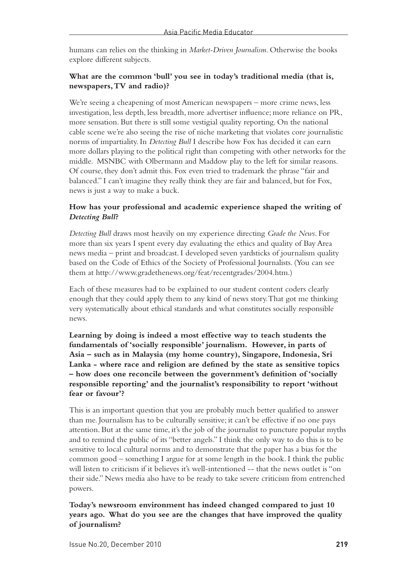humans can relies on the thinking in *Market-Driven Journalism*. Otherwise the books explore different subjects.

#### **What are the common 'bull' you see in today's traditional media (that is, newspapers, TV and radio)?**

We're seeing a cheapening of most American newspapers – more crime news, less investigation, less depth, less breadth, more advertiser influence; more reliance on PR, more sensation. But there is still some vestigial quality reporting. On the national cable scene we're also seeing the rise of niche marketing that violates core journalistic norms of impartiality. In *Detecting Bull* I describe how Fox has decided it can earn more dollars playing to the political right than competing with other networks for the middle. MSNBC with Olbermann and Maddow play to the left for similar reasons. Of course, they don't admit this. Fox even tried to trademark the phrase "fair and balanced." I can't imagine they really think they are fair and balanced, but for Fox, news is just a way to make a buck.

#### **How has your professional and academic experience shaped the writing of**  *Detecting Bull***?**

*Detecting Bull* draws most heavily on my experience directing *Grade the News*. For more than six years I spent every day evaluating the ethics and quality of Bay Area news media – print and broadcast. I developed seven yardsticks of journalism quality based on the Code of Ethics of the Society of Professional Journalists. (You can see them at http://www.gradethenews.org/feat/recentgrades/2004.htm.)

Each of these measures had to be explained to our student content coders clearly enough that they could apply them to any kind of news story. That got me thinking very systematically about ethical standards and what constitutes socially responsible news.

**Learning by doing is indeed a most effective way to teach students the fundamentals of 'socially responsible' journalism. However, in parts of Asia – such as in Malaysia (my home country), Singapore, Indonesia, Sri Lanka - where race and religion are defined by the state as sensitive topics – how does one reconcile between the government's definition of 'socially responsible reporting' and the journalist's responsibility to report 'without fear or favour'?** 

This is an important question that you are probably much better qualified to answer than me. Journalism has to be culturally sensitive; it can't be effective if no one pays attention. But at the same time, it's the job of the journalist to puncture popular myths and to remind the public of its "better angels." I think the only way to do this is to be sensitive to local cultural norms and to demonstrate that the paper has a bias for the common good – something I argue for at some length in the book. I think the public will listen to criticism if it believes it's well-intentioned -- that the news outlet is "on their side." News media also have to be ready to take severe criticism from entrenched powers.

#### **Today's newsroom environment has indeed changed compared to just 10 years ago. What do you see are the changes that have improved the quality of journalism?**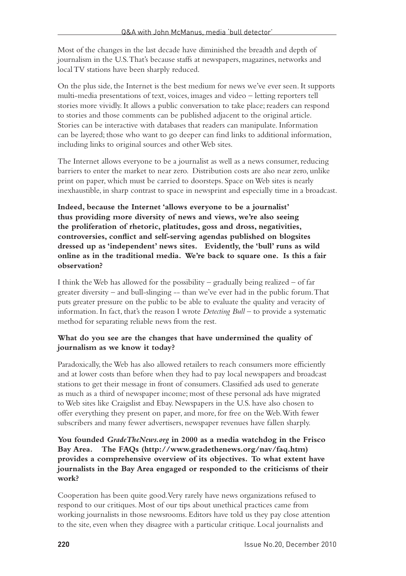Most of the changes in the last decade have diminished the breadth and depth of journalism in the U.S. That's because staffs at newspapers, magazines, networks and local TV stations have been sharply reduced.

On the plus side, the Internet is the best medium for news we've ever seen. It supports multi-media presentations of text, voices, images and video – letting reporters tell stories more vividly. It allows a public conversation to take place; readers can respond to stories and those comments can be published adjacent to the original article. Stories can be interactive with databases that readers can manipulate. Information can be layered; those who want to go deeper can find links to additional information, including links to original sources and other Web sites.

The Internet allows everyone to be a journalist as well as a news consumer, reducing barriers to enter the market to near zero. Distribution costs are also near zero, unlike print on paper, which must be carried to doorsteps. Space on Web sites is nearly inexhaustible, in sharp contrast to space in newsprint and especially time in a broadcast.

**Indeed, because the Internet 'allows everyone to be a journalist' thus providing more diversity of news and views, we're also seeing the proliferation of rhetoric, platitudes, goss and dross, negativities, controversies, conflict and self-serving agendas published on blogsites dressed up as 'independent' news sites. Evidently, the 'bull' runs as wild online as in the traditional media. We're back to square one. Is this a fair observation?**

I think the Web has allowed for the possibility – gradually being realized – of far greater diversity – and bull-slinging -- than we've ever had in the public forum. That puts greater pressure on the public to be able to evaluate the quality and veracity of information. In fact, that's the reason I wrote *Detecting Bull* – to provide a systematic method for separating reliable news from the rest.

#### **What do you see are the changes that have undermined the quality of journalism as we know it today?**

Paradoxically, the Web has also allowed retailers to reach consumers more efficiently and at lower costs than before when they had to pay local newspapers and broadcast stations to get their message in front of consumers. Classified ads used to generate as much as a third of newspaper income; most of these personal ads have migrated to Web sites like Craigslist and Ebay. Newspapers in the U.S. have also chosen to offer everything they present on paper, and more, for free on the Web. With fewer subscribers and many fewer advertisers, newspaper revenues have fallen sharply.

**You founded** *GradeTheNews.org* **in 2000 as a media watchdog in the Frisco Bay Area. The FAQs (http://www.gradethenews.org/nav/faq.htm) provides a comprehensive overview of its objectives. To what extent have journalists in the Bay Area engaged or responded to the criticisms of their work?** 

Cooperation has been quite good. Very rarely have news organizations refused to respond to our critiques. Most of our tips about unethical practices came from working journalists in those newsrooms. Editors have told us they pay close attention to the site, even when they disagree with a particular critique. Local journalists and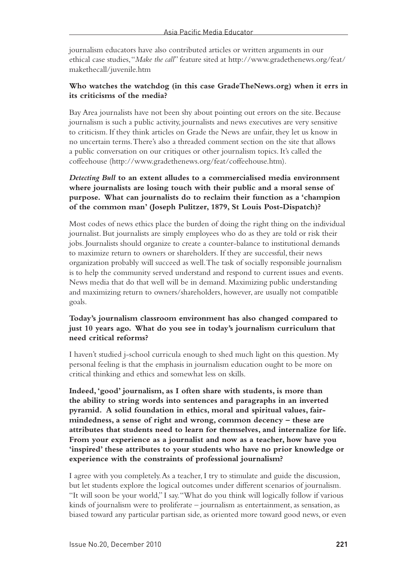journalism educators have also contributed articles or written arguments in our ethical case studies, "*Make the call*" feature sited at http://www.gradethenews.org/feat/ makethecall/juvenile.htm

#### **Who watches the watchdog (in this case GradeTheNews.org) when it errs in its criticisms of the media?**

Bay Area journalists have not been shy about pointing out errors on the site. Because journalism is such a public activity, journalists and news executives are very sensitive to criticism. If they think articles on Grade the News are unfair, they let us know in no uncertain terms. There's also a threaded comment section on the site that allows a public conversation on our critiques or other journalism topics. It's called the coffeehouse (http://www.gradethenews.org/feat/coffeehouse.htm).

#### *Detecting Bull* **to an extent alludes to a commercialised media environment where journalists are losing touch with their public and a moral sense of purpose. What can journalists do to reclaim their function as a 'champion of the common man' (Joseph Pulitzer, 1879, St Louis Post-Dispatch)?**

Most codes of news ethics place the burden of doing the right thing on the individual journalist. But journalists are simply employees who do as they are told or risk their jobs. Journalists should organize to create a counter-balance to institutional demands to maximize return to owners or shareholders. If they are successful, their news organization probably will succeed as well. The task of socially responsible journalism is to help the community served understand and respond to current issues and events. News media that do that well will be in demand. Maximizing public understanding and maximizing return to owners/shareholders, however, are usually not compatible goals.

#### **Today's journalism classroom environment has also changed compared to just 10 years ago. What do you see in today's journalism curriculum that need critical reforms?**

I haven't studied j-school curricula enough to shed much light on this question. My personal feeling is that the emphasis in journalism education ought to be more on critical thinking and ethics and somewhat less on skills.

**Indeed, 'good' journalism, as I often share with students, is more than the ability to string words into sentences and paragraphs in an inverted pyramid. A solid foundation in ethics, moral and spiritual values, fairmindedness, a sense of right and wrong, common decency – these are attributes that students need to learn for themselves, and internalize for life. From your experience as a journalist and now as a teacher, how have you 'inspired' these attributes to your students who have no prior knowledge or experience with the constraints of professional journalism?** 

I agree with you completely. As a teacher, I try to stimulate and guide the discussion, but let students explore the logical outcomes under different scenarios of journalism. "It will soon be your world," I say. "What do you think will logically follow if various kinds of journalism were to proliferate – journalism as entertainment, as sensation, as biased toward any particular partisan side, as oriented more toward good news, or even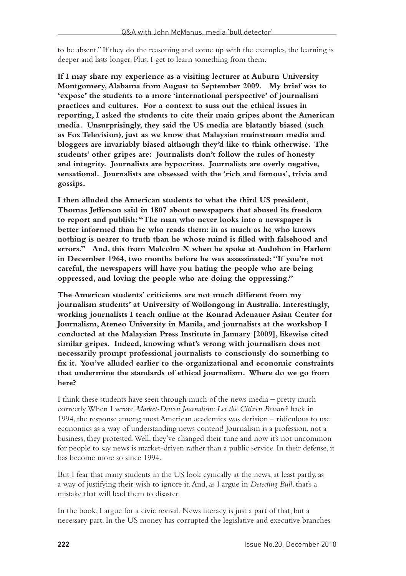to be absent." If they do the reasoning and come up with the examples, the learning is deeper and lasts longer. Plus, I get to learn something from them.

**If I may share my experience as a visiting lecturer at Auburn University Montgomery, Alabama from August to September 2009. My brief was to 'expose' the students to a more 'international perspective' of journalism practices and cultures. For a context to suss out the ethical issues in reporting, I asked the students to cite their main gripes about the American media. Unsurprisingly, they said the US media are blatantly biased (such as Fox Television), just as we know that Malaysian mainstream media and bloggers are invariably biased although they'd like to think otherwise. The students' other gripes are: Journalists don't follow the rules of honesty and integrity. Journalists are hypocrites. Journalists are overly negative, sensational. Journalists are obsessed with the 'rich and famous', trivia and gossips.**

**I then alluded the American students to what the third US president, Thomas Jefferson said in 1807 about newspapers that abused its freedom to report and publish: "The man who never looks into a newspaper is better informed than he who reads them: in as much as he who knows nothing is nearer to truth than he whose mind is filled with falsehood and errors." And, this from Malcolm X when he spoke at Audobon in Harlem in December 1964, two months before he was assassinated: "If you're not careful, the newspapers will have you hating the people who are being oppressed, and loving the people who are doing the oppressing."**

**The American students' criticisms are not much different from my journalism students' at University of Wollongong in Australia. Interestingly, working journalists I teach online at the Konrad Adenauer Asian Center for Journalism, Ateneo University in Manila, and journalists at the workshop I conducted at the Malaysian Press Institute in January [2009], likewise cited similar gripes. Indeed, knowing what's wrong with journalism does not necessarily prompt professional journalists to consciously do something to fix it. You've alluded earlier to the organizational and economic constraints that undermine the standards of ethical journalism. Where do we go from here?**

I think these students have seen through much of the news media – pretty much correctly. When I wrote *Market-Driven Journalism: Let the Citizen Beware*? back in 1994, the response among most American academics was derision – ridiculous to use economics as a way of understanding news content! Journalism is a profession, not a business, they protested. Well, they've changed their tune and now it's not uncommon for people to say news is market-driven rather than a public service. In their defense, it has become more so since 1994.

But I fear that many students in the US look cynically at the news, at least partly, as a way of justifying their wish to ignore it. And, as I argue in *Detecting Bull*, that's a mistake that will lead them to disaster.

In the book, I argue for a civic revival. News literacy is just a part of that, but a necessary part. In the US money has corrupted the legislative and executive branches